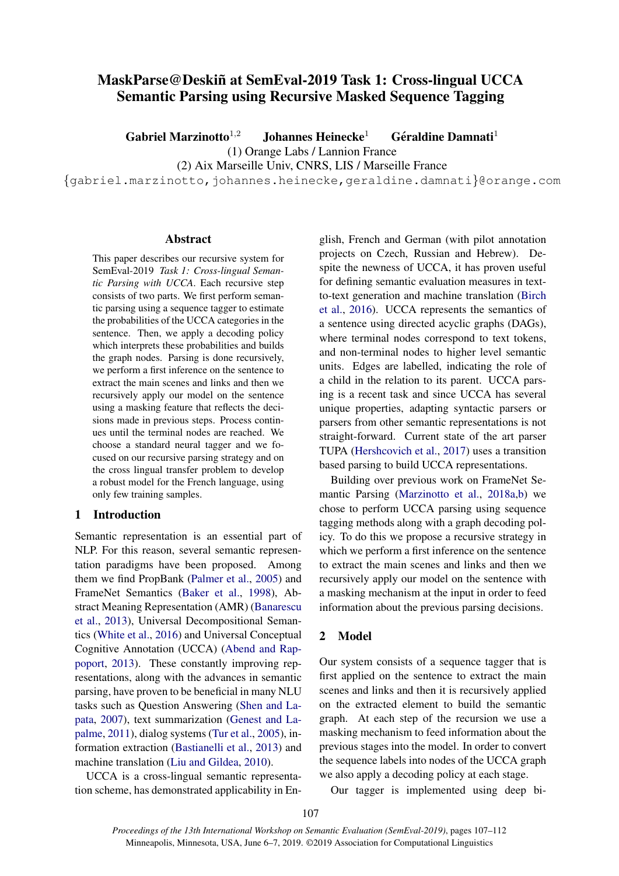# MaskParse@Deskiñ at SemEval-2019 Task 1: Cross-lingual UCCA Semantic Parsing using Recursive Masked Sequence Tagging

Gabriel Marzinotto<sup>1,2</sup> Johannes Heinecke<sup>1</sup> **éraldine Damnati<sup>1</sup>** (1) Orange Labs / Lannion France

(2) Aix Marseille Univ, CNRS, LIS / Marseille France

{gabriel.marzinotto,johannes.heinecke,geraldine.damnati}@orange.com

#### Abstract

This paper describes our recursive system for SemEval-2019 *Task 1: Cross-lingual Semantic Parsing with UCCA*. Each recursive step consists of two parts. We first perform semantic parsing using a sequence tagger to estimate the probabilities of the UCCA categories in the sentence. Then, we apply a decoding policy which interprets these probabilities and builds the graph nodes. Parsing is done recursively, we perform a first inference on the sentence to extract the main scenes and links and then we recursively apply our model on the sentence using a masking feature that reflects the decisions made in previous steps. Process continues until the terminal nodes are reached. We choose a standard neural tagger and we focused on our recursive parsing strategy and on the cross lingual transfer problem to develop a robust model for the French language, using only few training samples.

# 1 Introduction

Semantic representation is an essential part of NLP. For this reason, several semantic representation paradigms have been proposed. Among them we find PropBank [\(Palmer et al.,](#page-4-0) [2005\)](#page-4-0) and FrameNet Semantics [\(Baker et al.,](#page-4-1) [1998\)](#page-4-1), Abstract Meaning Representation (AMR) [\(Banarescu](#page-4-2) [et al.,](#page-4-2) [2013\)](#page-4-2), Universal Decompositional Semantics [\(White et al.,](#page-4-3) [2016\)](#page-4-3) and Universal Conceptual Cognitive Annotation (UCCA) [\(Abend and Rap](#page-4-4)[poport,](#page-4-4) [2013\)](#page-4-4). These constantly improving representations, along with the advances in semantic parsing, have proven to be beneficial in many NLU tasks such as Question Answering [\(Shen and La](#page-4-5)[pata,](#page-4-5) [2007\)](#page-4-5), text summarization [\(Genest and La](#page-4-6)[palme,](#page-4-6) [2011\)](#page-4-6), dialog systems [\(Tur et al.,](#page-4-7) [2005\)](#page-4-7), information extraction [\(Bastianelli et al.,](#page-4-8) [2013\)](#page-4-8) and machine translation [\(Liu and Gildea,](#page-4-9) [2010\)](#page-4-9).

UCCA is a cross-lingual semantic representation scheme, has demonstrated applicability in En-

glish, French and German (with pilot annotation projects on Czech, Russian and Hebrew). Despite the newness of UCCA, it has proven useful for defining semantic evaluation measures in textto-text generation and machine translation [\(Birch](#page-4-10) [et al.,](#page-4-10) [2016\)](#page-4-10). UCCA represents the semantics of a sentence using directed acyclic graphs (DAGs), where terminal nodes correspond to text tokens, and non-terminal nodes to higher level semantic units. Edges are labelled, indicating the role of a child in the relation to its parent. UCCA parsing is a recent task and since UCCA has several unique properties, adapting syntactic parsers or parsers from other semantic representations is not straight-forward. Current state of the art parser TUPA [\(Hershcovich et al.,](#page-4-11) [2017\)](#page-4-11) uses a transition based parsing to build UCCA representations.

Building over previous work on FrameNet Semantic Parsing [\(Marzinotto et al.,](#page-4-12) [2018a](#page-4-12)[,b\)](#page-4-13) we chose to perform UCCA parsing using sequence tagging methods along with a graph decoding policy. To do this we propose a recursive strategy in which we perform a first inference on the sentence to extract the main scenes and links and then we recursively apply our model on the sentence with a masking mechanism at the input in order to feed information about the previous parsing decisions.

# 2 Model

Our system consists of a sequence tagger that is first applied on the sentence to extract the main scenes and links and then it is recursively applied on the extracted element to build the semantic graph. At each step of the recursion we use a masking mechanism to feed information about the previous stages into the model. In order to convert the sequence labels into nodes of the UCCA graph we also apply a decoding policy at each stage.

Our tagger is implemented using deep bi-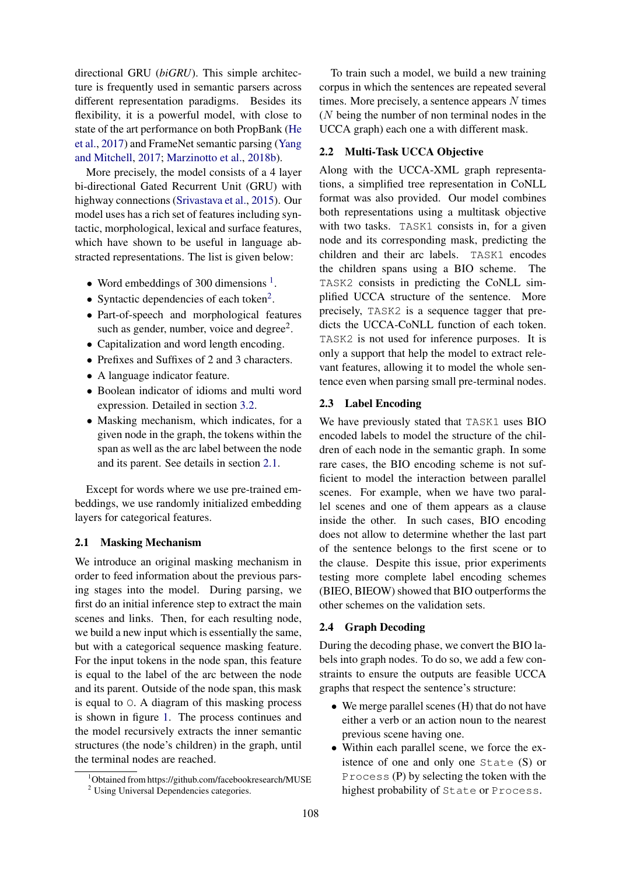directional GRU (*biGRU*). This simple architecture is frequently used in semantic parsers across different representation paradigms. Besides its flexibility, it is a powerful model, with close to state of the art performance on both PropBank [\(He](#page-4-14) [et al.,](#page-4-14) [2017\)](#page-4-14) and FrameNet semantic parsing [\(Yang](#page-5-0) [and Mitchell,](#page-5-0) [2017;](#page-5-0) [Marzinotto et al.,](#page-4-13) [2018b\)](#page-4-13).

More precisely, the model consists of a 4 layer bi-directional Gated Recurrent Unit (GRU) with highway connections [\(Srivastava et al.,](#page-4-15) [2015\)](#page-4-15). Our model uses has a rich set of features including syntactic, morphological, lexical and surface features, which have shown to be useful in language abstracted representations. The list is given below:

- Word embeddings of 300 dimensions  $<sup>1</sup>$  $<sup>1</sup>$  $<sup>1</sup>$ .</sup>
- Syntactic dependencies of each token<sup>[2](#page-1-1)</sup>.
- Part-of-speech and morphological features such as gender, number, voice and degree<sup>2</sup>.
- Capitalization and word length encoding.
- Prefixes and Suffixes of 2 and 3 characters.
- A language indicator feature.
- Boolean indicator of idioms and multi word expression. Detailed in section [3.2.](#page-2-0)
- Masking mechanism, which indicates, for a given node in the graph, the tokens within the span as well as the arc label between the node and its parent. See details in section [2.1.](#page-1-2)

Except for words where we use pre-trained embeddings, we use randomly initialized embedding layers for categorical features.

## <span id="page-1-2"></span>2.1 Masking Mechanism

We introduce an original masking mechanism in order to feed information about the previous parsing stages into the model. During parsing, we first do an initial inference step to extract the main scenes and links. Then, for each resulting node, we build a new input which is essentially the same, but with a categorical sequence masking feature. For the input tokens in the node span, this feature is equal to the label of the arc between the node and its parent. Outside of the node span, this mask is equal to O. A diagram of this masking process is shown in figure [1.](#page-2-1) The process continues and the model recursively extracts the inner semantic structures (the node's children) in the graph, until the terminal nodes are reached.

To train such a model, we build a new training corpus in which the sentences are repeated several times. More precisely, a sentence appears  $N$  times (N being the number of non terminal nodes in the UCCA graph) each one a with different mask.

#### 2.2 Multi-Task UCCA Objective

Along with the UCCA-XML graph representations, a simplified tree representation in CoNLL format was also provided. Our model combines both representations using a multitask objective with two tasks. TASK1 consists in, for a given node and its corresponding mask, predicting the children and their arc labels. TASK1 encodes the children spans using a BIO scheme. The TASK2 consists in predicting the CoNLL simplified UCCA structure of the sentence. More precisely, TASK2 is a sequence tagger that predicts the UCCA-CoNLL function of each token. TASK2 is not used for inference purposes. It is only a support that help the model to extract relevant features, allowing it to model the whole sentence even when parsing small pre-terminal nodes.

# 2.3 Label Encoding

We have previously stated that TASK1 uses BIO encoded labels to model the structure of the children of each node in the semantic graph. In some rare cases, the BIO encoding scheme is not sufficient to model the interaction between parallel scenes. For example, when we have two parallel scenes and one of them appears as a clause inside the other. In such cases, BIO encoding does not allow to determine whether the last part of the sentence belongs to the first scene or to the clause. Despite this issue, prior experiments testing more complete label encoding schemes (BIEO, BIEOW) showed that BIO outperforms the other schemes on the validation sets.

#### 2.4 Graph Decoding

During the decoding phase, we convert the BIO labels into graph nodes. To do so, we add a few constraints to ensure the outputs are feasible UCCA graphs that respect the sentence's structure:

- We merge parallel scenes (H) that do not have either a verb or an action noun to the nearest previous scene having one.
- Within each parallel scene, we force the existence of one and only one State (S) or Process (P) by selecting the token with the highest probability of State or Process.

<span id="page-1-0"></span><sup>&</sup>lt;sup>1</sup>Obtained from https://github.com/facebookresearch/MUSE

<span id="page-1-1"></span><sup>2</sup> Using Universal Dependencies categories.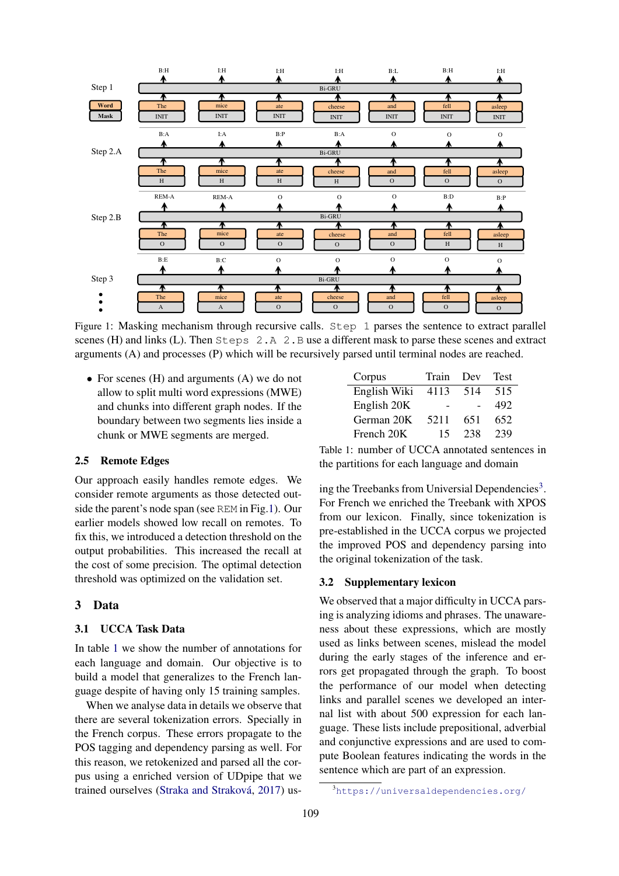<span id="page-2-1"></span>

Figure 1: Masking mechanism through recursive calls. Step 1 parses the sentence to extract parallel scenes (H) and links (L). Then Steps 2.A 2.B use a different mask to parse these scenes and extract arguments (A) and processes (P) which will be recursively parsed until terminal nodes are reached.

• For scenes (H) and arguments (A) we do not allow to split multi word expressions (MWE) and chunks into different graph nodes. If the boundary between two segments lies inside a chunk or MWE segments are merged.

# 2.5 Remote Edges

Our approach easily handles remote edges. We consider remote arguments as those detected outside the parent's node span (see REM in Fig[.1\)](#page-2-1). Our earlier models showed low recall on remotes. To fix this, we introduced a detection threshold on the output probabilities. This increased the recall at the cost of some precision. The optimal detection threshold was optimized on the validation set.

#### 3 Data

# 3.1 UCCA Task Data

In table [1](#page-2-2) we show the number of annotations for each language and domain. Our objective is to build a model that generalizes to the French language despite of having only 15 training samples.

When we analyse data in details we observe that there are several tokenization errors. Specially in the French corpus. These errors propagate to the POS tagging and dependency parsing as well. For this reason, we retokenized and parsed all the corpus using a enriched version of UDpipe that we trained ourselves (Straka and Straková, [2017\)](#page-4-16) us-

<span id="page-2-2"></span>

| Corpus       | Train | Dev | <b>Test</b> |
|--------------|-------|-----|-------------|
| English Wiki | 4113  | 514 | 515         |
| English 20K  |       |     | 492         |
| German 20K   | 5211  | 651 | 652         |
| French 20K   | 15    | 238 | 239         |

Table 1: number of UCCA annotated sentences in the partitions for each language and domain

ing the Treebanks from Universial Dependencies<sup>[3](#page-2-3)</sup>. For French we enriched the Treebank with XPOS from our lexicon. Finally, since tokenization is pre-established in the UCCA corpus we projected the improved POS and dependency parsing into the original tokenization of the task.

#### <span id="page-2-0"></span>3.2 Supplementary lexicon

We observed that a major difficulty in UCCA parsing is analyzing idioms and phrases. The unawareness about these expressions, which are mostly used as links between scenes, mislead the model during the early stages of the inference and errors get propagated through the graph. To boost the performance of our model when detecting links and parallel scenes we developed an internal list with about 500 expression for each language. These lists include prepositional, adverbial and conjunctive expressions and are used to compute Boolean features indicating the words in the sentence which are part of an expression.

<span id="page-2-3"></span><sup>3</sup><https://universaldependencies.org/>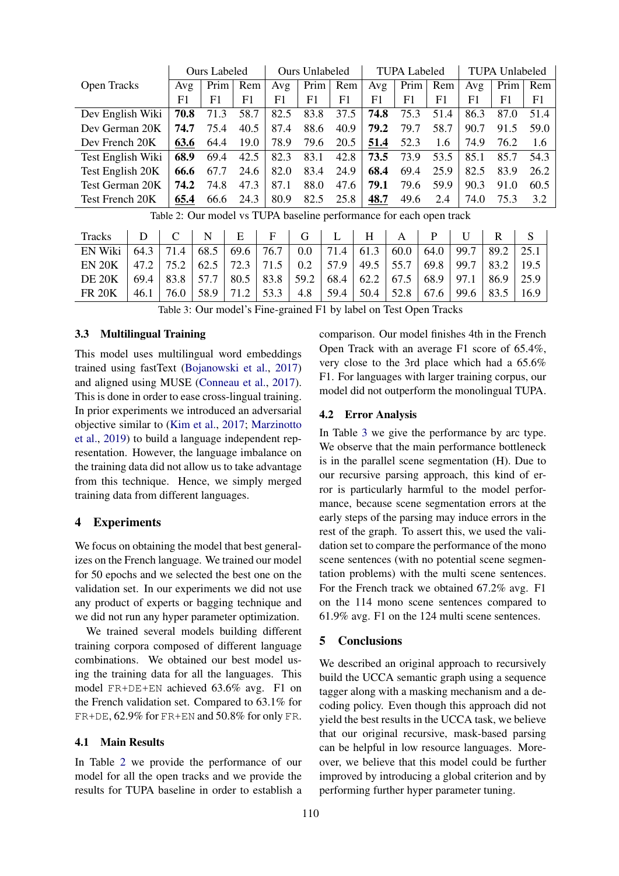<span id="page-3-0"></span>

|                   | <b>Ours Labeled</b> |      |      | Ours Unlabeled |      |      | <b>TUPA Labeled</b> |      |      | <b>TUPA Unlabeled</b> |      |      |
|-------------------|---------------------|------|------|----------------|------|------|---------------------|------|------|-----------------------|------|------|
| Open Tracks       | Avg                 | Prim | Rem  | Avg            | Prim | Rem  | Avg                 | Prim | Rem  | Avg                   | Prim | Rem  |
|                   | F1                  | F1   | F1   | F1.            | F1   | F1   | F1                  | F1   | F1   | F1                    | F1   | F1   |
| Dev English Wiki  | 70.8                | 71.3 | 58.7 | 82.5           | 83.8 | 37.5 | 74.8                | 75.3 | 51.4 | 86.3                  | 87.0 | 51.4 |
| Dev German 20K    | 74.7                | 75.4 | 40.5 | 87.4           | 88.6 | 40.9 | 79.2                | 79.7 | 58.7 | 90.7                  | 91.5 | 59.0 |
| Dev French 20K    | 63.6                | 64.4 | 19.0 | 78.9           | 79.6 | 20.5 | 51.4                | 52.3 | 1.6  | 74.9                  | 76.2 | 1.6  |
| Test English Wiki | 68.9                | 69.4 | 42.5 | 82.3           | 83.1 | 42.8 | 73.5                | 73.9 | 53.5 | 85.1                  | 85.7 | 54.3 |
| Test English 20K  | 66.6                | 67.7 | 24.6 | 82.0           | 83.4 | 24.9 | 68.4                | 69.4 | 25.9 | 82.5                  | 83.9 | 26.2 |
| Test German 20K   | 74.2                | 74.8 | 47.3 | 87.1           | 88.0 | 47.6 | 79.1                | 79.6 | 59.9 | 90.3                  | 91.0 | 60.5 |
| Test French 20K   | 65.4                | 66.6 | 24.3 | 80.9           | 82.5 | 25.8 | 48.7                | 49.6 | 2.4  | 74.0                  | 75.3 | 3.2  |

Table 2: Our model vs TUPA baseline performance for each open track

<span id="page-3-1"></span>

| Tracks                                                                                            |                                   | $\mathbf{C}$ | N <sub>1</sub> | $E \mid F \mid G \mid$                        |  | $L \mid H \mid$ |           | $A \parallel P \parallel$ |                                                             |      |      |
|---------------------------------------------------------------------------------------------------|-----------------------------------|--------------|----------------|-----------------------------------------------|--|-----------------|-----------|---------------------------|-------------------------------------------------------------|------|------|
| EN Wiki                                                                                           | 64.3                              |              |                | 71.4   68.5   69.6   76.7   0.0   71.4   61.3 |  |                 | 60.0 64.0 |                           | 99.7                                                        | 89.2 | 25.1 |
| EN 20K   47.2   75.2   62.5   72.3   71.5   0.2   57.9   49.5   55.7   69.8   99.7   83.2   19.5  |                                   |              |                |                                               |  |                 |           |                           |                                                             |      |      |
| DE 20K   69.4   83.8   57.7   80.5   83.8   59.2   68.4   62.2   67.5   68.9   97.1   86.9   25.9 |                                   |              |                |                                               |  |                 |           |                           |                                                             |      |      |
| FR 20K                                                                                            | $\vert$ 46.1   76.0   58.9   71.2 |              |                |                                               |  |                 |           |                           | 53.3   4.8   59.4   50.4   52.8   67.6   99.6   83.5   16.9 |      |      |

Table 3: Our model's Fine-grained F1 by label on Test Open Tracks

# 3.3 Multilingual Training

This model uses multilingual word embeddings trained using fastText [\(Bojanowski et al.,](#page-4-17) [2017\)](#page-4-17) and aligned using MUSE [\(Conneau et al.,](#page-4-18) [2017\)](#page-4-18). This is done in order to ease cross-lingual training. In prior experiments we introduced an adversarial objective similar to [\(Kim et al.,](#page-4-19) [2017;](#page-4-19) [Marzinotto](#page-4-20) [et al.,](#page-4-20) [2019\)](#page-4-20) to build a language independent representation. However, the language imbalance on the training data did not allow us to take advantage from this technique. Hence, we simply merged training data from different languages.

# 4 Experiments

We focus on obtaining the model that best generalizes on the French language. We trained our model for 50 epochs and we selected the best one on the validation set. In our experiments we did not use any product of experts or bagging technique and we did not run any hyper parameter optimization.

We trained several models building different training corpora composed of different language combinations. We obtained our best model using the training data for all the languages. This model FR+DE+EN achieved 63.6% avg. F1 on the French validation set. Compared to 63.1% for FR+DE, 62.9% for FR+EN and 50.8% for only FR.

## 4.1 Main Results

In Table [2](#page-3-0) we provide the performance of our model for all the open tracks and we provide the results for TUPA baseline in order to establish a

comparison. Our model finishes 4th in the French Open Track with an average F1 score of 65.4%, very close to the 3rd place which had a 65.6% F1. For languages with larger training corpus, our model did not outperform the monolingual TUPA.

## 4.2 Error Analysis

In Table [3](#page-3-1) we give the performance by arc type. We observe that the main performance bottleneck is in the parallel scene segmentation (H). Due to our recursive parsing approach, this kind of error is particularly harmful to the model performance, because scene segmentation errors at the early steps of the parsing may induce errors in the rest of the graph. To assert this, we used the validation set to compare the performance of the mono scene sentences (with no potential scene segmentation problems) with the multi scene sentences. For the French track we obtained 67.2% avg. F1 on the 114 mono scene sentences compared to 61.9% avg. F1 on the 124 multi scene sentences.

#### 5 Conclusions

We described an original approach to recursively build the UCCA semantic graph using a sequence tagger along with a masking mechanism and a decoding policy. Even though this approach did not yield the best results in the UCCA task, we believe that our original recursive, mask-based parsing can be helpful in low resource languages. Moreover, we believe that this model could be further improved by introducing a global criterion and by performing further hyper parameter tuning.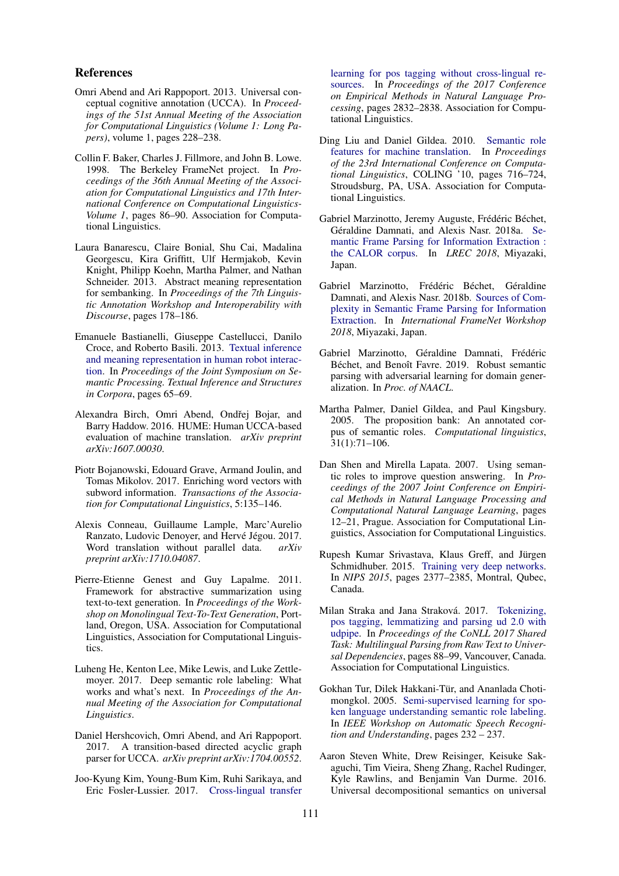## References

- <span id="page-4-4"></span>Omri Abend and Ari Rappoport. 2013. Universal conceptual cognitive annotation (UCCA). In *Proceedings of the 51st Annual Meeting of the Association for Computational Linguistics (Volume 1: Long Papers)*, volume 1, pages 228–238.
- <span id="page-4-1"></span>Collin F. Baker, Charles J. Fillmore, and John B. Lowe. 1998. The Berkeley FrameNet project. In *Proceedings of the 36th Annual Meeting of the Association for Computational Linguistics and 17th International Conference on Computational Linguistics-Volume 1*, pages 86–90. Association for Computational Linguistics.
- <span id="page-4-2"></span>Laura Banarescu, Claire Bonial, Shu Cai, Madalina Georgescu, Kira Griffitt, Ulf Hermjakob, Kevin Knight, Philipp Koehn, Martha Palmer, and Nathan Schneider. 2013. Abstract meaning representation for sembanking. In *Proceedings of the 7th Linguistic Annotation Workshop and Interoperability with Discourse*, pages 178–186.
- <span id="page-4-8"></span>Emanuele Bastianelli, Giuseppe Castellucci, Danilo Croce, and Roberto Basili. 2013. [Textual inference](http://aclweb.org/anthology/W13-3820) [and meaning representation in human robot interac](http://aclweb.org/anthology/W13-3820)[tion.](http://aclweb.org/anthology/W13-3820) In *Proceedings of the Joint Symposium on Semantic Processing. Textual Inference and Structures in Corpora*, pages 65–69.
- <span id="page-4-10"></span>Alexandra Birch, Omri Abend, Ondřej Bojar, and Barry Haddow. 2016. HUME: Human UCCA-based evaluation of machine translation. *arXiv preprint arXiv:1607.00030*.
- <span id="page-4-17"></span>Piotr Bojanowski, Edouard Grave, Armand Joulin, and Tomas Mikolov. 2017. Enriching word vectors with subword information. *Transactions of the Association for Computational Linguistics*, 5:135–146.
- <span id="page-4-18"></span>Alexis Conneau, Guillaume Lample, Marc'Aurelio Ranzato, Ludovic Denoyer, and Hervé Jégou. 2017. Word translation without parallel data. *arXiv preprint arXiv:1710.04087*.
- <span id="page-4-6"></span>Pierre-Etienne Genest and Guy Lapalme. 2011. Framework for abstractive summarization using text-to-text generation. In *Proceedings of the Workshop on Monolingual Text-To-Text Generation*, Portland, Oregon, USA. Association for Computational Linguistics, Association for Computational Linguistics.
- <span id="page-4-14"></span>Luheng He, Kenton Lee, Mike Lewis, and Luke Zettlemoyer. 2017. Deep semantic role labeling: What works and what's next. In *Proceedings of the Annual Meeting of the Association for Computational Linguistics*.
- <span id="page-4-11"></span>Daniel Hershcovich, Omri Abend, and Ari Rappoport. 2017. A transition-based directed acyclic graph parser for UCCA. *arXiv preprint arXiv:1704.00552*.
- <span id="page-4-19"></span>Joo-Kyung Kim, Young-Bum Kim, Ruhi Sarikaya, and Eric Fosler-Lussier. 2017. [Cross-lingual transfer](https://doi.org/10.18653/v1/D17-1302)

[learning for pos tagging without cross-lingual re](https://doi.org/10.18653/v1/D17-1302)[sources.](https://doi.org/10.18653/v1/D17-1302) In *Proceedings of the 2017 Conference on Empirical Methods in Natural Language Processing*, pages 2832–2838. Association for Computational Linguistics.

- <span id="page-4-9"></span>Ding Liu and Daniel Gildea. 2010. [Semantic role](http://dl.acm.org/citation.cfm?id=1873781.1873862) [features for machine translation.](http://dl.acm.org/citation.cfm?id=1873781.1873862) In *Proceedings of the 23rd International Conference on Computational Linguistics*, COLING '10, pages 716–724, Stroudsburg, PA, USA. Association for Computational Linguistics.
- <span id="page-4-12"></span>Gabriel Marzinotto, Jeremy Auguste, Frédéric Béchet, Géraldine Damnati, and Alexis Nasr. 2018a. [Se](https://hal.archives-ouvertes.fr/hal-01731385)[mantic Frame Parsing for Information Extraction :](https://hal.archives-ouvertes.fr/hal-01731385) [the CALOR corpus.](https://hal.archives-ouvertes.fr/hal-01731385) In *LREC 2018*, Miyazaki, Japan.
- <span id="page-4-13"></span>Gabriel Marzinotto, Frédéric Béchet, Géraldine Damnati, and Alexis Nasr. 2018b. [Sources of Com](https://hal.archives-ouvertes.fr/hal-01731385)[plexity in Semantic Frame Parsing for Information](https://hal.archives-ouvertes.fr/hal-01731385) [Extraction.](https://hal.archives-ouvertes.fr/hal-01731385) In *International FrameNet Workshop 2018*, Miyazaki, Japan.
- <span id="page-4-20"></span>Gabriel Marzinotto, Géraldine Damnati, Frédéric Béchet, and Benoît Favre. 2019. Robust semantic parsing with adversarial learning for domain generalization. In *Proc. of NAACL*.
- <span id="page-4-0"></span>Martha Palmer, Daniel Gildea, and Paul Kingsbury. 2005. The proposition bank: An annotated corpus of semantic roles. *Computational linguistics*, 31(1):71–106.
- <span id="page-4-5"></span>Dan Shen and Mirella Lapata. 2007. Using semantic roles to improve question answering. In *Proceedings of the 2007 Joint Conference on Empirical Methods in Natural Language Processing and Computational Natural Language Learning*, pages 12–21, Prague. Association for Computational Linguistics, Association for Computational Linguistics.
- <span id="page-4-15"></span>Rupesh Kumar Srivastava, Klaus Greff, and Jürgen Schmidhuber. 2015. [Training very deep networks.](http://papers.nips.cc/paper/5850-training-very-deep-networks) In *NIPS 2015*, pages 2377–2385, Montral, Qubec, Canada.
- <span id="page-4-16"></span>Milan Straka and Jana Straková. 2017. [Tokenizing,](http://www.aclweb.org/anthology/K/K17/K17-3009.pdf) [pos tagging, lemmatizing and parsing ud 2.0 with](http://www.aclweb.org/anthology/K/K17/K17-3009.pdf) [udpipe.](http://www.aclweb.org/anthology/K/K17/K17-3009.pdf) In *Proceedings of the CoNLL 2017 Shared Task: Multilingual Parsing from Raw Text to Universal Dependencies*, pages 88–99, Vancouver, Canada. Association for Computational Linguistics.
- <span id="page-4-7"></span>Gokhan Tur, Dilek Hakkani-Tür, and Ananlada Chotimongkol. 2005. [Semi-supervised learning for spo](https://doi.org/10.1109/ASRU.2005.1566523)[ken language understanding semantic role labeling.](https://doi.org/10.1109/ASRU.2005.1566523) In *IEEE Workshop on Automatic Speech Recognition and Understanding*, pages 232 – 237.
- <span id="page-4-3"></span>Aaron Steven White, Drew Reisinger, Keisuke Sakaguchi, Tim Vieira, Sheng Zhang, Rachel Rudinger, Kyle Rawlins, and Benjamin Van Durme. 2016. Universal decompositional semantics on universal